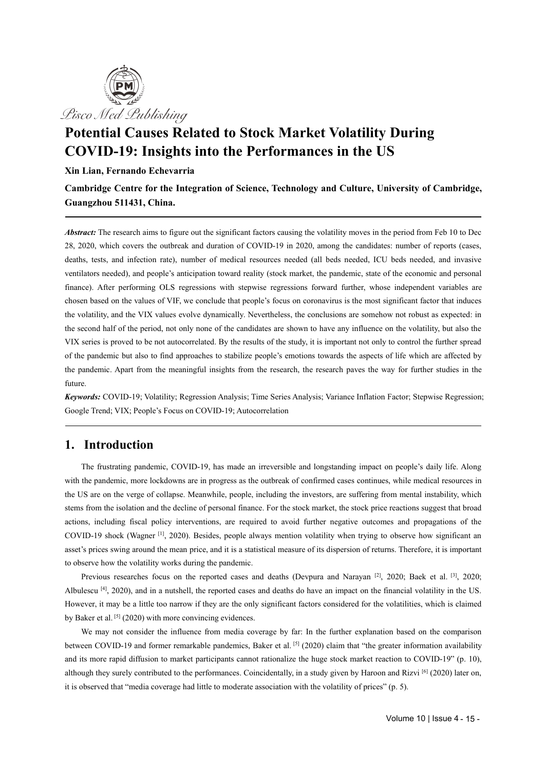

# **Potential Causes Related to Stock Market Volatility During COVID-19: Insights into the Performances in the US**

#### **Xin Lian, Fernando Echevarria**

**Cambridge Centre for the Integration of Science, Technology and Culture, University of Cambridge, Guangzhou 511431, China.**

*Abstract:* The research aimsto figure out the significant factors causing the volatility moves in the period from Feb 10 to Dec 28, 2020, which covers the outbreak and duration of COVID-19 in 2020, among the candidates: number of reports (cases, deaths, tests, and infection rate), number of medical resources needed (all beds needed, ICU beds needed, and invasive ventilators needed), and people's anticipation toward reality (stock market, the pandemic, state of the economic and personal finance). After performing OLS regressions with stepwise regressions forward further, whose independent variables are chosen based on the values of VIF, we conclude that people's focus on coronavirus is the most significant factor that induces the volatility, and the VIX values evolve dynamically. Nevertheless, the conclusions are somehow not robust as expected: in the second half of the period, not only none of the candidates are shown to have any influence on the volatility, but also the VIX series is proved to be not autocorrelated. By the results of the study, it is important not only to control the further spread of the pandemic but also to find approaches to stabilize people's emotions towards the aspects of life which are affected by the pandemic. Apart from the meaningful insights from the research, the research paves the way for further studies in the future.

*Keywords:* COVID-19; Volatility; Regression Analysis; Time Series Analysis; Variance Inflation Factor; Stepwise Regression; Google Trend; VIX; People's Focus on COVID-19; Autocorrelation

### **1. Introduction**

The frustrating pandemic, COVID-19, has made an irreversible and longstanding impact on people's daily life. Along with the pandemic, more lockdowns are in progress as the outbreak of confirmed cases continues, while medical resources in the US are on the verge of collapse. Meanwhile, people, including the investors, are suffering from mental instability, which stems from the isolation and the decline of personal finance. For the stock market, the stock price reactions suggest that broad actions, including fiscal policy interventions, are required to avoid further negative outcomes and propagations of the COVID-19 shock (Wagner [1], 2020). Besides, people always mention volatility when trying to observe how significant an asset's prices swing around the mean price, and it is a statistical measure of its dispersion of returns. Therefore, it is important to observe how the volatility works during the pandemic.

Previous researches focus on the reported cases and deaths (Devpura and Narayan  $[2]$ , 2020; Baek et al.  $[3]$ , 2020; Albulescu <sup>[4]</sup>, 2020), and in a nutshell, the reported cases and deaths do have an impact on the financial volatility in the US. However, it may be a little too narrow if they are the only significant factors considered for the volatilities, which is claimed by Baker et al.  $[5]$  (2020) with more convincing evidences.

We may not consider the influence from media coverage by far: In the further explanation based on the comparison between COVID-19 and former remarkable pandemics, Baker et al. <sup>[5]</sup> (2020) claim that "the greater information availability and its more rapid diffusion to market participants cannot rationalize the huge stock market reaction to COVID-19" (p. 10), although they surely contributed to the performances. Coincidentally, in a study given by Haroon and Rizvi <sup>[6]</sup> (2020) later on, it is observed that "media coverage had little to moderate association with the volatility o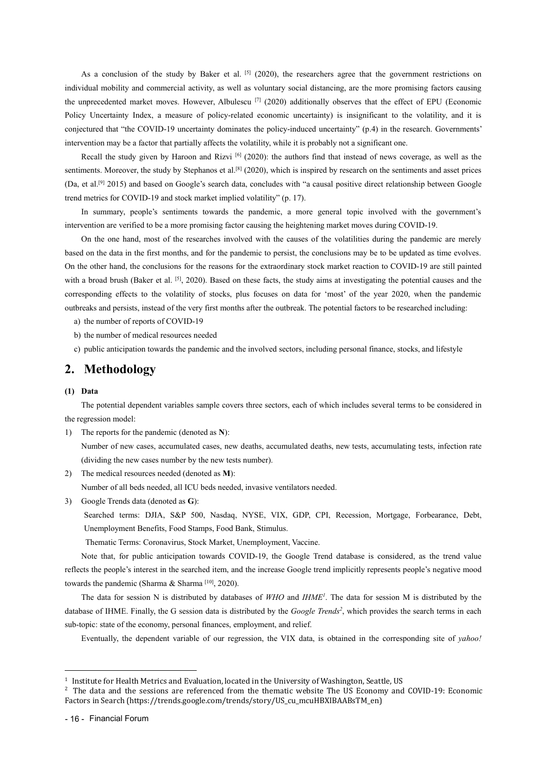As a conclusion of the study by Baker et al.  $[5]$  (2020), the researchers agree that the government restrictions on individual mobility and commercial activity, as wellas voluntary social distancing, are the more promising factors causing the unprecedented market moves. However, Albulescu<sup>[7]</sup> (2020) additionally observes that the effect of EPU (Economic Policy Uncertainty Index, a measure of policy-related economic uncertainty) is insignificant to the volatility, and it is conjectured that "the COVID-19 uncertainty dominates the policy-induced uncertainty" (p.4) in the re intervention may be a factor that partially affects the volatility, while it is probably not a significant one.

Recall the study given by Haroon and Rizvi <sup>[6]</sup> (2020): the authors find that instead of news coverage, as well as the sentiments. Moreover, the study by Stephanos et al.<sup>[8]</sup> (2020), which is inspired by research on the sentiments and asset prices (Da, et al.<sup>[9]</sup> 2015) and based on Google's search data, concludes with "a causal positive direct relationship between Google trend metrics for COVID-19 and stock market implied volatility" (p. 17).

In summary, people's sentiments towards the pandemic, a more general topic involved with the government's intervention are verified to be a more promising factor causing the heightening market moves during COVID-19.

On the one hand, most of the researches involved with the causes of the volatilities during the pandemic are merely based on the data in the first months, and for the pandemic to persist, the conclusions may be to be updated as time evolves. On the other hand, the conclusions for the reasons for the extraordinary stock market reaction to COVID-19 are still painted with a broad brush (Baker et al.  $[5]$ , 2020). Based on these facts, the study aims at investigating the potential causes and the corresponding effects to the volatility of stocks, plus focuses on data for 'most' of the year 2020, when the pandemic outbreaks and persists, instead of the very first months after the outbreak. The potential factors to be researched including:<br>a) the number of reports of COVID-19

b) the number of medical resources needed

c) public anticipation towards the pandemic and the involved sectors, including personal finance, stocks, and lifestyle

### **2. Methodology**

#### **(1) Data**

The potential dependent variables sample covers three sectors, each of which includes several terms to be considered in the regression model:

1) The reports for the pandemic (denoted as **N**): Number of new cases, accumulated cases, new deaths, accumulated deaths, new tests, accumulating tests, infection rate (dividing the new cases number by the new tests number).

2) The medical resources needed (denoted as **M**):

Number of all beds needed, all ICU beds needed, invasive ventilators needed.

3) Google Trends data (denoted as **G**):

Searched terms: DJIA, S&P 500, Nasdaq, NYSE, VIX, GDP, CPI, Recession, Mortgage, Forbearance, Debt, Unemployment Benefits, Food Stamps, Food Bank, Stimulus.

Thematic Terms: Coronavirus, Stock Market, Unemployment, Vaccine.

Note that, for public anticipation towards COVID-19, the Google Trend database is considered, as the trend value reflects the people's interest in the searched item, and the increase Google trend implicitly represents people's negative mood towards the pandemic (Sharma & Sharma <sup>[10]</sup>, 2020).

The data for session N is distributed by databases of  $WHO$  and  $HME<sup>I</sup>$ . The data for session M is distributed by the database of IHME. Finally, the G session data is distributed by the *Google Trends<sup>[2](#page-1-1)</sup>*, which provides the search terms in each sub-topic: state of the economy, personal finances, employment, and relief.

Eventually, the dependent variable of our regression, the VIX data, is obtained in the corresponding site of *yahoo!*

<span id="page-1-0"></span><sup>1</sup> Institute for Health Metrics and Evaluation, located in the University of Washington, Seattle, US

<span id="page-1-1"></span><sup>&</sup>lt;sup>2</sup> The data and the sessions are referenced from the thematic website The US Economy and COVID-19: Economic Factors in Search (https://trends.google.com/trends/story/US\_cu\_mcuHBXIBAABsTM\_en)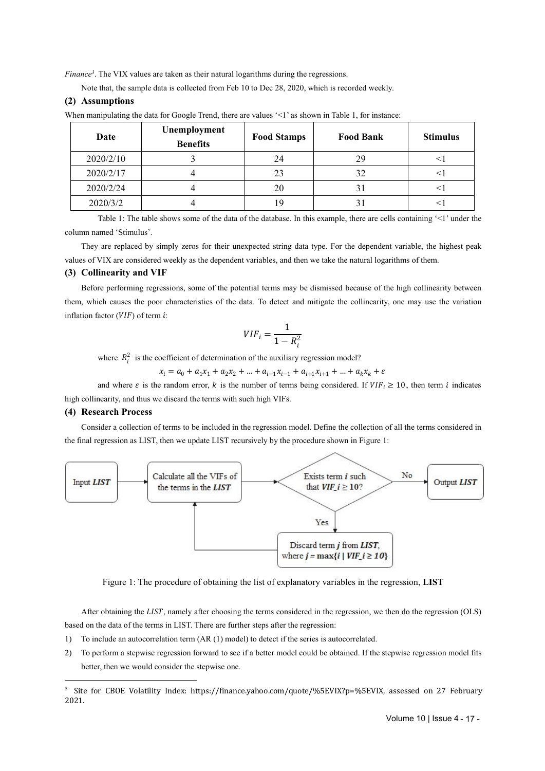*Finance*<sup>[3](#page-2-0)</sup>. The VIX values are taken as their natural logarithms during the regressions.

Note that, the sample data is collected from Feb 10 to Dec 28, 2020, which is recorded weekly.

#### **(2) Assumptions**

| When manipulating the data for Google Trend, there are values '<1' as shown in Table 1, for instance: |
|-------------------------------------------------------------------------------------------------------|
|-------------------------------------------------------------------------------------------------------|

| Date      | Unemployment<br><b>Benefits</b> | <b>Food Stamps</b> | <b>Food Bank</b> | <b>Stimulus</b> |
|-----------|---------------------------------|--------------------|------------------|-----------------|
| 2020/2/10 |                                 | 24                 | 29               |                 |
| 2020/2/17 |                                 | 23                 | 32               |                 |
| 2020/2/24 |                                 | 20                 | 31               |                 |
| 2020/3/2  |                                 |                    |                  |                 |

Table 1: The table shows some of the data of the database. In this example, there are cells containing '<1' under the column named 'Stimulus'.

They are replaced by simply zeros for their unexpected string data type. For the dependent variable, the highest peak values ofVIX are considered weekly as the dependent variables, and then we take the natural logarithms ofthem.

#### **(3) Collinearity and VIF**

Before performing regressions, some of the potential terms may be dismissed because of the high collinearity between them, which causes the poor characteristics of the data. To detect and mitigate the collinearity, one may use the variation inflation factor  $(VIF)$  of term  $i$ :

$$
VIF_i = \frac{1}{1 - R_i^2}
$$

where  $R_i^2$  is the coefficient of determination of the auxiliary regression model?

 $x_i = a_0 + a_1x_1 + a_2x_2 + ... + a_{i-1}x_{i-1} + a_{i+1}x_{i+1} + ... + a_kx_k + \varepsilon$ 

and where  $\varepsilon$  is the random error, k is the number of terms being considered. If  $VIF_i \ge 10$ , then term i indicates high collinearity, and thus we discard the terms with such high VIFs.

#### **(4) Research Process**

Consider a collection of terms to be included in the regression model. Define the collection of all the terms considered in the final regression as LIST, then we update LIST recursively by the procedure shown in Figure 1:



Figure 1: The procedure of obtaining the list of explanatory variables in the regression, **LIST**

After obtaining the  $LIST$ , namely after choosing the terms considered in the regression, we then do the regression (OLS) based on the data of the terms in LIST. There are further steps after the regression:

- 1) To include an autocorrelation term (AR (1) model) to detect if the series is autocorrelated.
- 2) To perform a stepwise regression forward to see if a better model could be obtained. If the stepwise regression model fits better, then we would consider the stepwise one.

<span id="page-2-0"></span><sup>&</sup>lt;sup>3</sup> Site for CBOE Volatility Index: https://finance.yahoo.com/quote/%5EVIX?p=%5EVIX, assessed on 27 February 2021.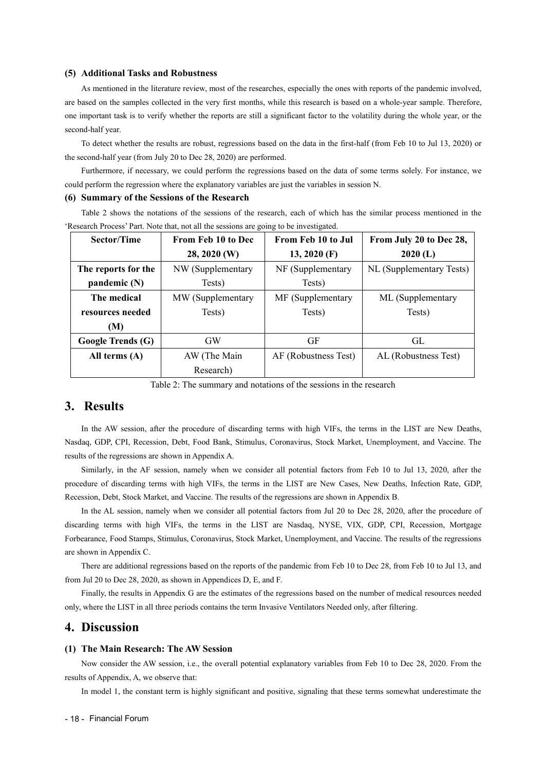#### **(5) Additional Tasks and Robustness**

As mentioned in the literature review, most of the researches, especially the ones with reports of the pandemic involved, are based on the samples collected in the very first months, while this research is based on a whole-year sample. Therefore, one important task is to verify whether the reports are still a significant factor to the volatility during the whole year, or the second-half year.

To detect whether the results are robust, regressions based on the data in the first-half (from Feb 10 to Jul 13, 2020) or the second-half year (from July 20 to Dec 28, 2020) are performed.

Furthermore, if necessary, we could perform the regressions based on the data of some terms solely. For instance, we could perform the regression where the explanatory variables are just the variables in session N.

#### **(6) Summary of the Sessions ofthe Research**

Table 2 shows the notations of the sessions of the research, each of which has the similar process mentioned in the 'Research Process' Part. Note that, not all the sessions are going to be investigated.

| <b>Sector/Time</b>       | <b>From Feb 10 to Dec</b> | From Feb 10 to Jul   | From July 20 to Dec 28,  |
|--------------------------|---------------------------|----------------------|--------------------------|
|                          | 28, 2020 (W)              | $13, 2020$ (F)       | $2020$ (L)               |
| The reports for the      | NW (Supplementary         | NF (Supplementary    | NL (Supplementary Tests) |
| pandemic $(N)$           | Tests)                    | Tests)               |                          |
| The medical              | MW (Supplementary         | MF (Supplementary    | ML (Supplementary        |
| resources needed         | Tests)                    | Tests)               | Tests)                   |
| (M)                      |                           |                      |                          |
| <b>Google Trends (G)</b> | <b>GW</b>                 | GF                   | GL                       |
| All terms $(A)$          | AW (The Main              | AF (Robustness Test) | AL (Robustness Test)     |
|                          | Research)                 |                      |                          |

Table 2: The summary and notations of the sessions in the research

## **3. Results**

In the AW session, after the procedure of discarding terms with high VIFs, the terms in the LIST are New Deaths, Nasdaq, GDP, CPI, Recession, Debt, Food Bank, Stimulus, Coronavirus, Stock Market, Unemployment, and Vaccine. The results of the regressions are shown in Appendix A.

Similarly, in the AF session, namely when we consider all potential factors from Feb 10 to Jul13, 2020, after the procedure of discarding terms with high VIFs, the terms in the LIST are New Cases, New Deaths, Infection Rate, GDP, Recession, Debt, Stock Market, and Vaccine. The results of the regressions are shown in Appendix B.

In the AL session, namely when we consider all potential factors from Jul 20 to Dec 28,2020, after the procedure of discarding terms with high VIFs, the terms in the LIST are Nasdaq, NYSE, VIX, GDP, CPI, Recession, Mortgage Forbearance, Food Stamps, Stimulus, Coronavirus, Stock Market, Unemployment, and Vaccine. The results of the regressions are shown in Appendix C.

There are additional regressions based on the reports of the pandemic from Feb 10 to Dec 28, from Feb 10 to Jul 13, and from Jul 20 to Dec 28, 2020, as shown in Appendices D, E, and F.

Finally, the results in Appendix G are the estimates of the regressions based on the number of medical resources needed only, where the LIST in all three periods contains the term Invasive Ventilators Needed only, after filtering.

### **4. Discussion**

#### **(1) The Main Research: The AW Session**

Now consider the AW session, i.e., the overall potential explanatory variables from Feb 10 to Dec 28, 2020. From the results of Appendix, A, we observe that:

In model 1, the constant term is highly significant and positive, signaling that these terms somewhat underestimate the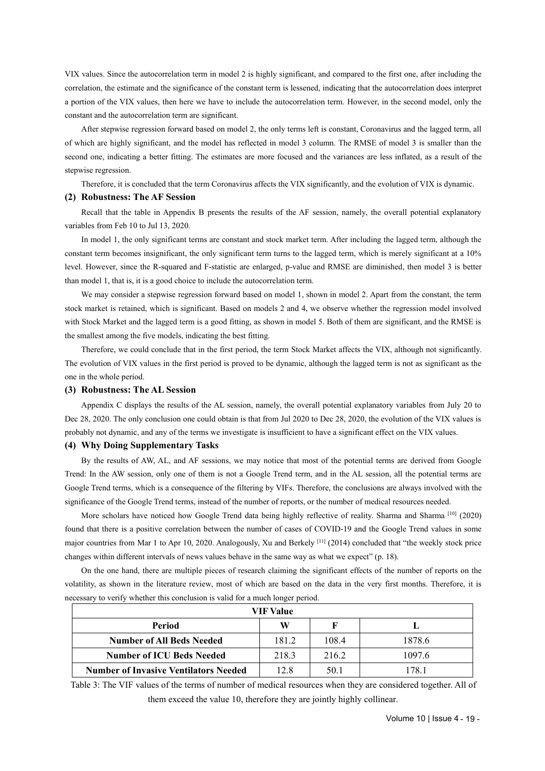VIX values. Since the autocorrelation term in model 2 is highly significant,and compared to the first one, after including the correlation, the estimate and the significance of the constant term is lessened, indicating that the autocorrelation doesinterpret a portion of the VIX values, then here we have to include the autocorrelation term. However, in the second model, only the constant and the autocorrelation term are significant.

After stepwise regression forward based on model 2, the only terms left is constant, Coronavirus and the lagged term, all of which are highly significant, and the model has reflected in model 3 column. The RMSE of model 3 is smaller than the second one, indicating a better fitting. The estimates are more focused and the variances are less inflated, as a result of the stepwise regression.

Therefore, it is concluded that the term Coronavirus affects the VIX significantly, and the evolution of VIX is dynamic.

#### **(2) Robustness: The AF Session**

Recall that the table in Appendix B presents the results of the AF session, namely, the overall potential explanatory variables from Feb 10 to Jul 13, 2020.

In model 1, the only significant terms are constant and stock market term. After including the lagged term, although the constant term becomes insignificant, the only significant term turns to the lagged term, which is merely significant at a 10% level. However, since the R-squared and F-statistic are enlarged, p-value and RMSE are diminished, then model 3 is better than model 1, that is, it is a good choice to include the autocorrelation term.

We may consider a stepwise regression forward based on model 1, shown in model 2. Apart from the constant, the term stock market is retained, which is significant. Based on models 2 and 4, we observe whether the regression model involved with Stock Market and the lagged term is a good fitting, as shown in model 5. Both of them are significant, and the RMSE is the smallest among the five models, indicating the best fitting.

Therefore, we could conclude that in the first period, the term Stock Market affects the VIX, although not significantly. The evolution of VIX values in the first period is proved to be dynamic, although the lagged term is not as significant as the one in the whole period.

#### **(3) Robustness: The AL Session**

Appendix C displays the results of the AL session, namely, the overall potential explanatory variables from July 20 to Dec 28, 2020. The only conclusion one could obtain is that from Jul 2020 to Dec 28, 2020, the evolution of the VIX values is probably not dynamic, and any of the terms we investigate isinsufficient to have a significant effect on the VIX values.

#### **(4) Why Doing Supplementary Tasks**

By the results of AW, AL, and AF sessions, we may notice that most of the potential terms are derived from Google Trend: In the AW session, only one of them is not a Google Trend term, and in the AL session, all the potential terms are Google Trend terms, which is a consequence of the filtering by VIFs. Therefore, the conclusions are always involved with the significance of the Google Trend terms, instead of the number of reports, or the number of medical resources needed.

More scholars have noticed how Google Trend data being highly reflective of reality. Sharma and Sharma [10] (2020) found that there isa positive correlation between the number of cases of COVID-19 and the Google Trend values in some major countries from Mar 1 to Apr 10, 2020. Analogously, Xu and Berkely <sup>[11]</sup> (2014) concluded that "the weekly stock price changes within different intervals of news values behave in the same way as what we expect" (p. 18).

On the one hand, there are multiple pieces of research claiming the significant effects of the number of reports on the volatility, as shown in the literature review, most of which are based on the data in the very first months. Therefore, it is necessary to verify whether this conclusion is valid for a much longer period.

|                                              | <b>VIF Value</b> |       |        |
|----------------------------------------------|------------------|-------|--------|
| Period                                       | W                | F     |        |
| <b>Number of All Beds Needed</b>             | 181.2            | 108.4 | 1878.6 |
| <b>Number of ICU Beds Needed</b>             | 218.3            | 216.2 | 1097.6 |
| <b>Number of Invasive Ventilators Needed</b> | 12.8             | 50.1  | 178 1  |

Table 3: The VIF values of the terms of number of medical resources when they are considered together. All of them exceed the value 10, therefore they are jointly highly collinear.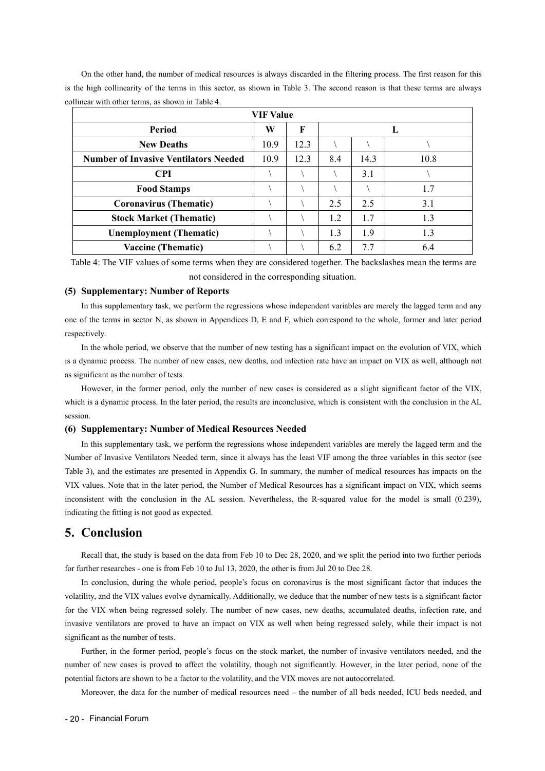On the other hand, the number of medical resources is always discarded in the filtering process. The first reason for this is the high collinearity of the terms in this sector, as shown in Table 3. The second reason is that these terms are always collinear with other terms, as shown in Table 4.

| <b>VIF Value</b>                             |      |      |     |      |      |  |  |  |
|----------------------------------------------|------|------|-----|------|------|--|--|--|
| Period                                       | W    | F    |     |      | ъ.   |  |  |  |
| <b>New Deaths</b>                            | 10.9 | 12.3 |     |      |      |  |  |  |
| <b>Number of Invasive Ventilators Needed</b> | 10.9 | 12.3 | 8.4 | 14.3 | 10.8 |  |  |  |
| <b>CPI</b>                                   |      |      |     | 3.1  |      |  |  |  |
| <b>Food Stamps</b>                           |      |      |     |      | 1.7  |  |  |  |
| <b>Coronavirus (Thematic)</b>                |      |      | 2.5 | 2.5  | 3.1  |  |  |  |
| <b>Stock Market (Thematic)</b>               |      |      | 1.2 | 1.7  | 1.3  |  |  |  |
| <b>Unemployment (Thematic)</b>               |      |      | 1.3 | 1.9  | 1.3  |  |  |  |
| <b>Vaccine (Thematic)</b>                    |      |      | 6.2 | 7.7  | 6.4  |  |  |  |

Table 4: The VIF values of some terms when they are considered together. The backslashes mean the terms are not considered in the corresponding situation.

#### **(5) Supplementary: Number of Reports**

In this supplementary task, we perform the regressions whose independent variables are merely the lagged term and any one of the terms in sector N, as shown in Appendices D, E and F, which correspond to the whole, former and later period respectively.

In the whole period, we observe that the number of new testing has a significant impact on the evolution of VIX, which is a dynamic process. The number of new cases, new deaths, and infection rate have an impact on VIX as well, although not as significant as the number of tests.

However, in the former period, only the number of new cases is considered as a slight significant factor of the VIX, which is a dynamic process. In the later period, the results are inconclusive, which is consistent with the conclusion in the AL session.

#### **(6) Supplementary: Number of Medical Resources Needed**

In this supplementary task, we perform the regressions whose independent variables are merely the lagged term and the Number of Invasive Ventilators Needed term, since it always has the least VIF among the three variables in this sector (see Table 3), and the estimates are presented in Appendix G. In summary, the number of medical resources has impacts on the VIX values. Note that in the later period, the Number of Medical Resources has a significant impact on VIX, which seems inconsistent with the conclusion in the AL session. Nevertheless, the R-squared value for the model is small (0.239), indicating the fitting is not good as expected.

### **5. Conclusion**

Recall that, the study is based on the data from Feb 10 to Dec 28, 2020, and we split the period into two further periods for further researches - one is from Feb 10 to Jul 13, 2020, the other is from Jul 20 to Dec 28.

In conclusion, during the whole period, people's focus on coronavirus is the most significant factor that induces the volatility, and the VIX values evolve dynamically. Additionally, we deduce that the number of new tests is a significant factor for the VIX when being regressed solely. The number of new cases, new deaths, accumulated deaths, infection rate, and invasive ventilators are proved to have an impact on VIX as wellwhen being regressed solely, while their impact is not significant as the number of tests.

Further, in the former period, people's focus on the stock market, the number of invasive ventilators needed, and the number of new cases is proved to affect the volatility, though not significantly. However, in the later period, none of the potential factors are shown to be a factor to the volatility, and the VIX moves are not autocorrelated.

Moreover, the data for the number of medical resources need – the number of all beds needed, ICU beds needed, and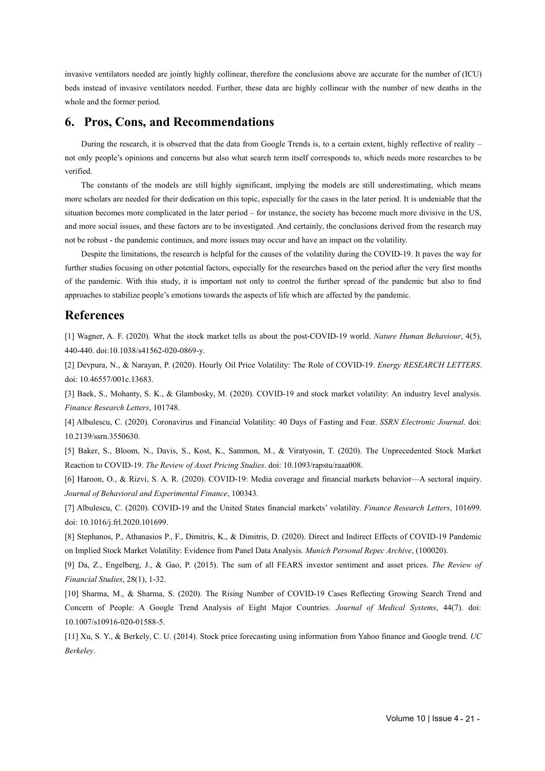invasive ventilators needed are jointly highly collinear, therefore the conclusions above are accurate for the number of (ICU) beds instead of invasive ventilators needed. Further, these data are highly collinear with the number of new deaths in the whole and the former period.

### **6. Pros, Cons, and Recommendations**

During the research, it is observed that the data from Google Trends is, to a certain extent, highly reflective of reality – not only people's opinions and concerns but also what search term itself corresponds to, which needs more researches to be verified.

The constants of the models are still highly significant, implying the models are still underestimating, which means more scholars are needed for their dedication on this topic, especially for the cases in the later period. It is undeniable that the situation becomes more complicated in the later period – for instance, the society has become much more divisive in the US, and more social issues, and these factors are to be investigated. And certainly, the conclusions derived from the research may not be robust - the pandemic continues, and more issues may occur and have an impact on the volatility.

Despite the limitations, the research is helpful for the causes of the volatility during the COVID-19. It paves the way for further studies focusing on other potential factors, especially for the researches based on the period after the very first months of the pandemic. With this study, it is important not only to control the further spread of the pandemic but also to find approaches to stabilize people's emotions towards the aspects oflife which are affected by the pandemic.

### **References**

[1] Wagner, A. F. (2020). What the stock market tells us about the post-COVID-19 world. *Nature Human Behaviour*,4(5), 440-440. doi:10.1038/s41562-020-0869-y.

[2] Devpura, N., & Narayan, P. (2020). Hourly Oil Price Volatility: The Role of COVID-19. *Energy RESEARCH LETTERS*. doi: 10.46557/001c.13683.

[3] Baek, S., Mohanty, S. K., & Glambosky, M. (2020). COVID-19 and stock market volatility: An industry level analysis. *Finance Research Letters*, 101748.

[4] Albulescu, C. (2020). Coronavirus and Financial Volatility: 40 Days of Fasting and Fear. *SSRN Electronic Journal*. doi: 10.2139/ssrn.3550630.

[5] Baker, S., Bloom, N., Davis, S., Kost, K., Sammon, M., & Viratyosin, T. (2020). The Unprecedented Stock Market Reaction to COVID-19. *The Review of Asset Pricing Studies*. doi: 10.1093/rapstu/raaa008.

[6] Haroon, O., & Rizvi, S. A. R. (2020). COVID-19: Media coverage and financial markets behavior—A sectoral inquiry. *Journal of Behavioral and Experimental Finance*, 100343.

[7] Albulescu, C. (2020). COVID-19 and the United States financial markets' volatility. *Finance Research Letters*, 101699. doi: 10.1016/j.frl.2020.101699.

[8] Stephanos, P., Athanasios P., F., Dimitris, K., & Dimitris, D. (2020). Direct and Indirect Effects of COVID-19 Pandemic on Implied Stock Market Volatility: Evidence from Panel Data Analysis. *Munich Personal Repec Archive*, (100020).

[9] Da, Z., Engelberg, J., & Gao, P. (2015). The sum of all FEARS investor sentiment and asset prices. *The Review of Financial Studies*, 28(1), 1-32.

[10] Sharma, M., & Sharma, S. (2020). The Rising Number of COVID-19 Cases Reflecting Growing Search Trend and Concern of People: A Google Trend Analysis of Eight Major Countries. *Journal of Medical Systems*, 44(7). doi: 10.1007/s10916-020-01588-5.

[11] Xu, S. Y., & Berkely, C. U. (2014). Stock price forecasting using information from Yahoo finance and Google trend. *UC Berkeley*.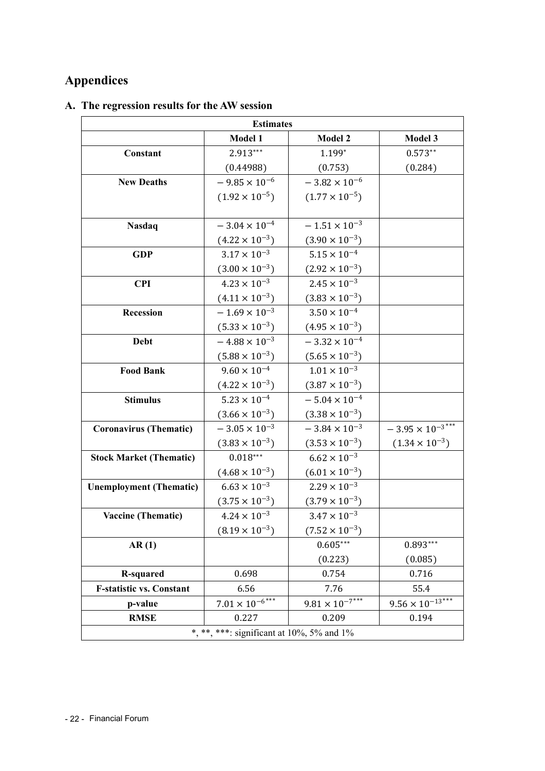# **Appendices**

## **A. The regression results for the AW session**

| <b>Estimates</b>                |                                           |                                       |                           |  |  |  |  |
|---------------------------------|-------------------------------------------|---------------------------------------|---------------------------|--|--|--|--|
|                                 | Model 1                                   | <b>Model 2</b>                        | Model 3                   |  |  |  |  |
| Constant                        | 2.913***                                  | 1.199*                                | $0.573**$                 |  |  |  |  |
|                                 | (0.44988)                                 | (0.753)                               | (0.284)                   |  |  |  |  |
| <b>New Deaths</b>               | $-9.85 \times 10^{-6}$                    | $-3.82 \times 10^{-6}$                |                           |  |  |  |  |
|                                 | $(1.92 \times 10^{-5})$                   | $(1.77 \times 10^{-5})$               |                           |  |  |  |  |
|                                 |                                           |                                       |                           |  |  |  |  |
| <b>Nasdaq</b>                   | $-3.04 \times 10^{-4}$                    | $-1.51 \times 10^{-3}$                |                           |  |  |  |  |
|                                 | $(4.22 \times 10^{-3})$                   | $(3.90 \times 10^{-3})$               |                           |  |  |  |  |
| <b>GDP</b>                      | $3.17 \times 10^{-3}$                     | $5.15 \times 10^{-4}$                 |                           |  |  |  |  |
|                                 | $(3.00 \times 10^{-3})$                   | $(2.92 \times 10^{-3})$               |                           |  |  |  |  |
| <b>CPI</b>                      | $4.23 \times 10^{-3}$                     | $2.45 \times 10^{-3}$                 |                           |  |  |  |  |
|                                 | $(4.11 \times 10^{-3})$                   | $(3.83 \times 10^{-3})$               |                           |  |  |  |  |
| Recession                       | $-1.69 \times 10^{-3}$                    | $3.50 \times 10^{-4}$                 |                           |  |  |  |  |
|                                 | $(5.33 \times 10^{-3})$                   | $(4.95 \times 10^{-3})$               |                           |  |  |  |  |
| Debt                            | $-4.88 \times 10^{-3}$                    | $-3.32 \times 10^{-4}$                |                           |  |  |  |  |
|                                 | $(5.88 \times 10^{-3})$                   | $(5.65 \times 10^{-3})$               |                           |  |  |  |  |
| <b>Food Bank</b>                | $9.60 \times 10^{-4}$                     | $1.01 \times 10^{-3}$                 |                           |  |  |  |  |
|                                 | $(4.22 \times 10^{-3})$                   | $(3.87 \times 10^{-3})$               |                           |  |  |  |  |
| <b>Stimulus</b>                 | $5.23 \times 10^{-4}$                     | $-5.04 \times 10^{-4}$                |                           |  |  |  |  |
|                                 | $(3.66 \times 10^{-3})$                   | $(3.38 \times 10^{-3})$               |                           |  |  |  |  |
| <b>Coronavirus (Thematic)</b>   | $-3.05 \times 10^{-3}$                    | $-3.84 \times 10^{-3}$                | $-3.95 \times 10^{-3***}$ |  |  |  |  |
|                                 | $(3.83 \times 10^{-3})$                   | $(3.53 \times 10^{-3})$               | $(1.34 \times 10^{-3})$   |  |  |  |  |
| <b>Stock Market (Thematic)</b>  | $0.018***$                                | $6.62 \times 10^{-3}$                 |                           |  |  |  |  |
|                                 | $(4.68 \times 10^{-3})$                   | $(6.01 \times 10^{-3})$               |                           |  |  |  |  |
| <b>Unemployment (Thematic)</b>  | $6.63 \times 10^{-3}$                     | $2.29\times10^{-3}$                   |                           |  |  |  |  |
|                                 | $(3.75 \times 10^{-3})$                   | $(3.79 \times 10^{-3})$               |                           |  |  |  |  |
| <b>Vaccine (Thematic)</b>       | $4.24 \times 10^{-3}$                     | $3.47 \times 10^{-3}$                 |                           |  |  |  |  |
|                                 | $(8.19 \times 10^{-3})$                   | $(7.52 \times 10^{-3})$               |                           |  |  |  |  |
| AR(1)                           |                                           | $0.605***$                            | $0.893***$                |  |  |  |  |
|                                 |                                           | (0.223)                               | (0.085)                   |  |  |  |  |
| <b>R-squared</b>                | 0.698                                     | 0.754                                 | 0.716                     |  |  |  |  |
| <b>F-statistic vs. Constant</b> | 6.56                                      | 7.76                                  | 55.4                      |  |  |  |  |
| p-value                         | $7.01 \times 10^{-6}$ ***                 | $\frac{9.81 \times 10^{-7}}{10^{10}}$ | $9.56 \times 10^{-13***}$ |  |  |  |  |
| <b>RMSE</b>                     | 0.227                                     | 0.209                                 | 0.194                     |  |  |  |  |
|                                 | *, **, ***: significant at 10%, 5% and 1% |                                       |                           |  |  |  |  |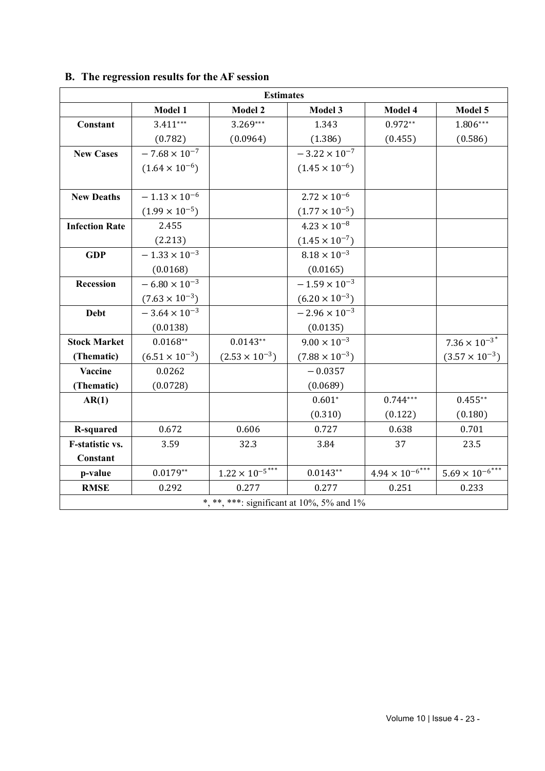|                       | <b>Estimates</b>        |                                           |                         |                          |                                       |  |  |  |  |  |
|-----------------------|-------------------------|-------------------------------------------|-------------------------|--------------------------|---------------------------------------|--|--|--|--|--|
|                       | <b>Model 1</b>          | <b>Model 2</b>                            | Model 3                 | Model 4                  | Model 5                               |  |  |  |  |  |
| Constant              | $3.411***$              | 3.269***                                  | 1.343                   | $0.972**$                | $1.806***$                            |  |  |  |  |  |
|                       | (0.782)                 | (0.0964)                                  | (1.386)                 | (0.455)                  | (0.586)                               |  |  |  |  |  |
| <b>New Cases</b>      | $-7.68\times10^{-7}$    |                                           | $-3.22 \times 10^{-7}$  |                          |                                       |  |  |  |  |  |
|                       | $(1.64 \times 10^{-6})$ |                                           | $(1.45 \times 10^{-6})$ |                          |                                       |  |  |  |  |  |
|                       |                         |                                           |                         |                          |                                       |  |  |  |  |  |
| <b>New Deaths</b>     | $-1.13\times10^{-6}$    |                                           | $2.72 \times 10^{-6}$   |                          |                                       |  |  |  |  |  |
|                       | $(1.99 \times 10^{-5})$ |                                           | $(1.77 \times 10^{-5})$ |                          |                                       |  |  |  |  |  |
| <b>Infection Rate</b> | 2.455                   |                                           | $4.23 \times 10^{-8}$   |                          |                                       |  |  |  |  |  |
|                       | (2.213)                 |                                           | $(1.45 \times 10^{-7})$ |                          |                                       |  |  |  |  |  |
| <b>GDP</b>            | $-1.33 \times 10^{-3}$  |                                           | $8.18 \times 10^{-3}$   |                          |                                       |  |  |  |  |  |
|                       | (0.0168)                |                                           | (0.0165)                |                          |                                       |  |  |  |  |  |
| Recession             | $-6.80 \times 10^{-3}$  |                                           | $-1.59 \times 10^{-3}$  |                          |                                       |  |  |  |  |  |
|                       | $(7.63 \times 10^{-3})$ |                                           | $(6.20 \times 10^{-3})$ |                          |                                       |  |  |  |  |  |
| <b>Debt</b>           | $-3.64 \times 10^{-3}$  |                                           | $-2.96 \times 10^{-3}$  |                          |                                       |  |  |  |  |  |
|                       | (0.0138)                |                                           | (0.0135)                |                          |                                       |  |  |  |  |  |
| <b>Stock Market</b>   | $0.0168**$              | $0.0143**$                                | $9.00 \times 10^{-3}$   |                          | $7.36 \times 10^{-3^*}$               |  |  |  |  |  |
| (Thematic)            | $(6.51 \times 10^{-3})$ | $(2.53 \times 10^{-3})$                   | $(7.88 \times 10^{-3})$ |                          | $(3.57 \times 10^{-3})$               |  |  |  |  |  |
| Vaccine               | 0.0262                  |                                           | $-0.0357$               |                          |                                       |  |  |  |  |  |
| (Thematic)            | (0.0728)                |                                           | (0.0689)                |                          |                                       |  |  |  |  |  |
| AR(1)                 |                         |                                           | $0.601*$                | $0.744***$               | $0.455***$                            |  |  |  |  |  |
|                       |                         |                                           | (0.310)                 | (0.122)                  | (0.180)                               |  |  |  |  |  |
| <b>R-squared</b>      | 0.672                   | 0.606                                     | 0.727                   | 0.638                    | 0.701                                 |  |  |  |  |  |
| F-statistic vs.       | 3.59                    | 32.3                                      | 3.84                    | 37                       | 23.5                                  |  |  |  |  |  |
| Constant              |                         |                                           |                         |                          |                                       |  |  |  |  |  |
| p-value               | $0.0179**$              | $1.22 \times 10^{-5***}$                  | $0.0143**$              | $4.94 \times 10^{-6***}$ | $\frac{5.69 \times 10^{-6}}{10^{10}}$ |  |  |  |  |  |
| <b>RMSE</b>           | 0.292                   | 0.277                                     | 0.277                   | 0.251                    | 0.233                                 |  |  |  |  |  |
|                       |                         | *, **, ***: significant at 10%, 5% and 1% |                         |                          |                                       |  |  |  |  |  |

## **B. The regression results for the AF session**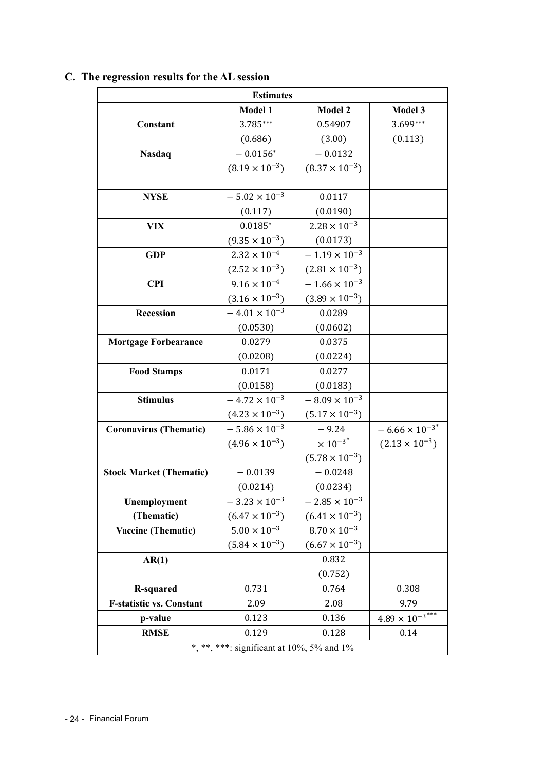| <b>Estimates</b>                          |                         |                         |                                     |  |  |  |  |  |
|-------------------------------------------|-------------------------|-------------------------|-------------------------------------|--|--|--|--|--|
|                                           | Model 1                 | Model 2                 | Model 3                             |  |  |  |  |  |
| Constant                                  | 3.785***                | 0.54907                 | 3.699***                            |  |  |  |  |  |
|                                           | (0.686)                 | (3.00)                  | (0.113)                             |  |  |  |  |  |
| Nasdaq                                    | $-0.0156*$              | $-0.0132$               |                                     |  |  |  |  |  |
|                                           | $(8.19 \times 10^{-3})$ | $(8.37 \times 10^{-3})$ |                                     |  |  |  |  |  |
|                                           |                         |                         |                                     |  |  |  |  |  |
| <b>NYSE</b>                               | $-5.02 \times 10^{-3}$  | 0.0117                  |                                     |  |  |  |  |  |
|                                           | (0.117)                 | (0.0190)                |                                     |  |  |  |  |  |
| <b>VIX</b>                                | $0.0185*$               | $2.28\times10^{-3}$     |                                     |  |  |  |  |  |
|                                           | $(9.35 \times 10^{-3})$ | (0.0173)                |                                     |  |  |  |  |  |
| <b>GDP</b>                                | $2.32 \times 10^{-4}$   | $-1.19 \times 10^{-3}$  |                                     |  |  |  |  |  |
|                                           | $(2.52 \times 10^{-3})$ | $(2.81 \times 10^{-3})$ |                                     |  |  |  |  |  |
| <b>CPI</b>                                | $9.16 \times 10^{-4}$   | $-1.66 \times 10^{-3}$  |                                     |  |  |  |  |  |
|                                           | $(3.16 \times 10^{-3})$ | $(3.89 \times 10^{-3})$ |                                     |  |  |  |  |  |
| Recession                                 | $-4.01 \times 10^{-3}$  | 0.0289                  |                                     |  |  |  |  |  |
|                                           | (0.0530)                | (0.0602)                |                                     |  |  |  |  |  |
| <b>Mortgage Forbearance</b>               | 0.0279                  | 0.0375                  |                                     |  |  |  |  |  |
|                                           | (0.0208)                | (0.0224)                |                                     |  |  |  |  |  |
| <b>Food Stamps</b>                        | 0.0171                  | 0.0277                  |                                     |  |  |  |  |  |
|                                           | (0.0158)                | (0.0183)                |                                     |  |  |  |  |  |
| <b>Stimulus</b>                           | $-4.72 \times 10^{-3}$  | $-8.09 \times 10^{-3}$  |                                     |  |  |  |  |  |
|                                           | $(4.23 \times 10^{-3})$ | $(5.17 \times 10^{-3})$ |                                     |  |  |  |  |  |
| <b>Coronavirus (Thematic)</b>             | $-5.86 \times 10^{-3}$  | $-9.24$                 | $-6.66 \times 10^{-3}$ <sup>*</sup> |  |  |  |  |  |
|                                           | $(4.96 \times 10^{-3})$ | $\times 10^{-3*}$       | $(2.13 \times 10^{-3})$             |  |  |  |  |  |
|                                           |                         | $(5.78 \times 10^{-3})$ |                                     |  |  |  |  |  |
| <b>Stock Market (Thematic)</b>            | $-0.0139$               | $-0.0248$               |                                     |  |  |  |  |  |
|                                           | (0.0214)                | (0.0234)                |                                     |  |  |  |  |  |
| Unemployment                              | $-3.23 \times 10^{-3}$  | $-2.85 \times 10^{-3}$  |                                     |  |  |  |  |  |
| (Thematic)                                | $(6.47 \times 10^{-3})$ | $(6.41 \times 10^{-3})$ |                                     |  |  |  |  |  |
| <b>Vaccine (Thematic)</b>                 | $5.00 \times 10^{-3}$   | $8.70 \times 10^{-3}$   |                                     |  |  |  |  |  |
|                                           | $(5.84 \times 10^{-3})$ | $(6.67 \times 10^{-3})$ |                                     |  |  |  |  |  |
| AR(1)                                     |                         | 0.832                   |                                     |  |  |  |  |  |
|                                           |                         | (0.752)                 |                                     |  |  |  |  |  |
| <b>R-squared</b>                          | 0.731                   | 0.764                   | 0.308                               |  |  |  |  |  |
| <b>F-statistic vs. Constant</b>           | 2.09                    | 2.08                    | 9.79                                |  |  |  |  |  |
| p-value                                   | 0.123                   | 0.136                   | $4.89\times10^{-3***}$              |  |  |  |  |  |
| <b>RMSE</b>                               | 0.129                   | 0.128                   | $0.14\,$                            |  |  |  |  |  |
| *, **, ***: significant at 10%, 5% and 1% |                         |                         |                                     |  |  |  |  |  |

## **C. The regression results for the AL session**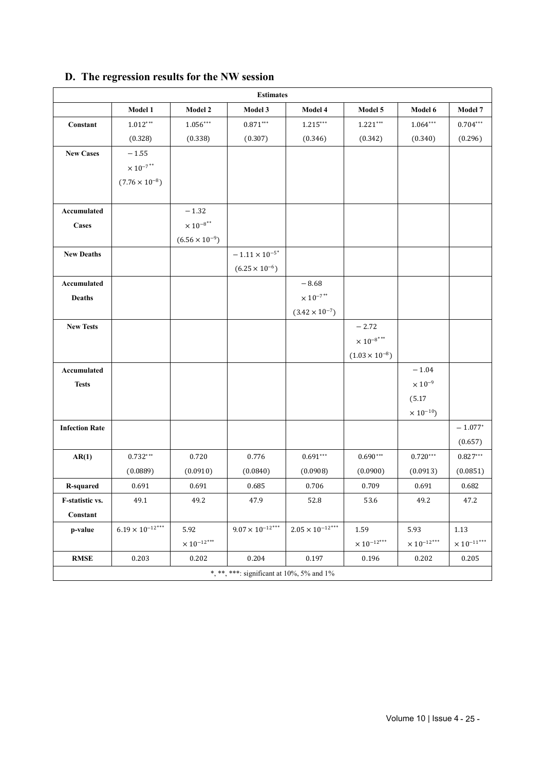|                       |                            |                           | <b>Estimates</b>                          |                             |                           |                              |                           |
|-----------------------|----------------------------|---------------------------|-------------------------------------------|-----------------------------|---------------------------|------------------------------|---------------------------|
|                       | Model 1                    | <b>Model 2</b>            | Model 3                                   | Model 4                     | Model 5                   | Model 6                      | Model 7                   |
| Constant              | $1.012***$                 | $1.056***$                | $0.871^{\ast\ast\ast}$                    | $1.215***$                  | $1.221***$                | $1.064***$                   | $0.704***$                |
|                       | (0.328)                    | (0.338)                   | (0.307)                                   | (0.346)                     | (0.342)                   | (0.340)                      | (0.296)                   |
| <b>New Cases</b>      | $-1.55$                    |                           |                                           |                             |                           |                              |                           |
|                       | $\times\,10^{-7}{}^{**}$   |                           |                                           |                             |                           |                              |                           |
|                       | $(7.76 \times 10^{-8})$    |                           |                                           |                             |                           |                              |                           |
|                       |                            |                           |                                           |                             |                           |                              |                           |
| Accumulated           |                            | $-1.32$                   |                                           |                             |                           |                              |                           |
| <b>Cases</b>          |                            | $\times\,10^{-8}{}^{**}$  |                                           |                             |                           |                              |                           |
|                       |                            | $(6.56 \times 10^{-9})$   |                                           |                             |                           |                              |                           |
| <b>New Deaths</b>     |                            |                           | $ 1.11\times10^{-5}{}^*$                  |                             |                           |                              |                           |
|                       |                            |                           | $(6.25 \times 10^{-6})$                   |                             |                           |                              |                           |
| Accumulated           |                            |                           |                                           | $-8.68$                     |                           |                              |                           |
| <b>Deaths</b>         |                            |                           |                                           | $\times\,10^{-7\,*}$        |                           |                              |                           |
|                       |                            |                           |                                           | $(3.42 \times 10^{-7})$     |                           |                              |                           |
| <b>New Tests</b>      |                            |                           |                                           |                             | $-2.72$                   |                              |                           |
|                       |                            |                           |                                           |                             | $\times\,10^{-8}{}^{***}$ |                              |                           |
|                       |                            |                           |                                           |                             | $(1.03 \times 10^{-8})$   |                              |                           |
| Accumulated           |                            |                           |                                           |                             |                           | $-1.04$                      |                           |
| <b>Tests</b>          |                            |                           |                                           |                             |                           | $\times$ $10^{-9}$           |                           |
|                       |                            |                           |                                           |                             |                           | (5.17)                       |                           |
|                       |                            |                           |                                           |                             |                           | $\times$ 10 <sup>-10</sup> ) |                           |
| <b>Infection Rate</b> |                            |                           |                                           |                             |                           |                              | $-1.077*$                 |
|                       |                            |                           |                                           |                             |                           |                              | (0.657)                   |
| AR(1)                 | $0.732***$                 | 0.720                     | 0.776                                     | $0.691***$                  | $0.690***$                | $0.720***$                   | $0.827^{\ast\ast\ast}$    |
|                       | (0.0889)                   | (0.0910)                  | (0.0840)                                  | (0.0908)                    | (0.0900)                  | (0.0913)                     | (0.0851)                  |
| <b>R-squared</b>      | 0.691                      | 0.691                     | 0.685                                     | 0.706                       | 0.709                     | 0.691                        | 0.682                     |
| F-statistic vs.       | 49.1                       | 49.2                      | 47.9                                      | 52.8                        | 53.6                      | 49.2                         | 47.2                      |
| Constant              |                            |                           |                                           |                             |                           |                              |                           |
| p-value               | $6.19\times10^{-12^{***}}$ | 5.92                      | $9.07\times10^{-12^{***}}$                | $2.05\times 10^{-12^{***}}$ | 1.59                      | 5.93                         | $1.13\,$                  |
|                       |                            | $\times$ $10^{-12^{***}}$ |                                           |                             | $\times$ $10^{-12^{***}}$ | $\times$ $10^{-12^{***}}$    | $\times$ $10^{-11^{***}}$ |
| $\mathbf{RMSE}$       | 0.203                      | 0.202                     | 0.204                                     | 0.197                       | 0.196                     | 0.202                        | 0.205                     |
|                       |                            |                           | *, **, ***: significant at 10%, 5% and 1% |                             |                           |                              |                           |

## **D. The regression results for the NW session**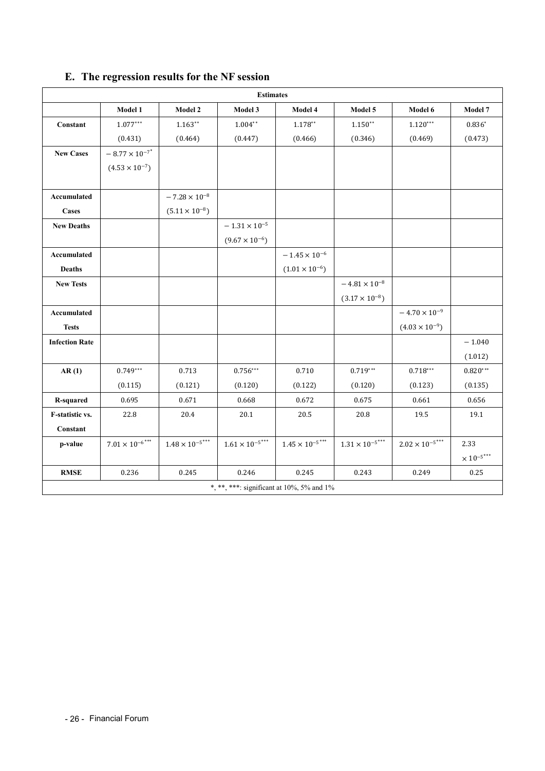|                       |                                 |                                    | <b>Estimates</b>                          |                             |                          |                         |                             |
|-----------------------|---------------------------------|------------------------------------|-------------------------------------------|-----------------------------|--------------------------|-------------------------|-----------------------------|
|                       | Model 1                         | Model 2                            | Model 3                                   | Model 4                     | Model 5                  | Model 6                 | Model 7                     |
| Constant              | $1.077***$                      | $1.163**$                          | $1.004**$                                 | $1.178**$                   | $1.150**$                | $1.120***$              | $0.836*$                    |
|                       | (0.431)                         | (0.464)                            | (0.447)                                   | (0.466)                     | (0.346)                  | (0.469)                 | (0.473)                     |
| <b>New Cases</b>      | $-$ 8.77 $\times$ $10^{-7}{}^*$ |                                    |                                           |                             |                          |                         |                             |
|                       | $(4.53 \times 10^{-7})$         |                                    |                                           |                             |                          |                         |                             |
|                       |                                 |                                    |                                           |                             |                          |                         |                             |
| Accumulated           |                                 | $-7.28\times10^{-8}$               |                                           |                             |                          |                         |                             |
| Cases                 |                                 | $(5.11 \times 10^{-8})$            |                                           |                             |                          |                         |                             |
| <b>New Deaths</b>     |                                 |                                    | $ 1.31\times10^{-5}$                      |                             |                          |                         |                             |
|                       |                                 |                                    | $(9.67 \times 10^{-6})$                   |                             |                          |                         |                             |
| Accumulated           |                                 |                                    |                                           | $-$ 1.45 $\times$ $10^{-6}$ |                          |                         |                             |
| <b>Deaths</b>         |                                 |                                    |                                           | $(1.01 \times 10^{-6})$     |                          |                         |                             |
| <b>New Tests</b>      |                                 |                                    |                                           |                             | $-4.81\times10^{-8}$     |                         |                             |
|                       |                                 |                                    |                                           |                             | $(3.17 \times 10^{-8})$  |                         |                             |
| Accumulated           |                                 |                                    |                                           |                             |                          | $-4.70 \times 10^{-9}$  |                             |
| <b>Tests</b>          |                                 |                                    |                                           |                             |                          | $(4.03 \times 10^{-9})$ |                             |
| <b>Infection Rate</b> |                                 |                                    |                                           |                             |                          |                         | $-1.040$                    |
|                       |                                 |                                    |                                           |                             |                          |                         | (1.012)                     |
| AR(1)                 | $0.749***$                      | 0.713                              | $0.756***$                                | 0.710                       | $0.719***$               | $0.718***$              | $0.820***$                  |
|                       | (0.115)                         | (0.121)                            | (0.120)                                   | (0.122)                     | (0.120)                  | (0.123)                 | (0.135)                     |
| R-squared             | 0.695                           | 0.671                              | 0.668                                     | 0.672                       | 0.675                    | 0.661                   | 0.656                       |
| F-statistic vs.       | 22.8                            | 20.4                               | 20.1                                      | 20.5                        | 20.8                     | 19.5                    | 19.1                        |
| Constant              |                                 |                                    |                                           |                             |                          |                         |                             |
| p-value               | $7.01 \times 10^{-6***}$        | $1.48\times10^{-5\, \ast\ast\ast}$ | $1.61\times10^{-5***}$                    | $1.45 \times 10^{-5***}$    | $1.31 \times 10^{-5***}$ | $2.02\times10^{-5***}$  | 2.33                        |
|                       |                                 |                                    |                                           |                             |                          |                         | $\times$ $10^{-5}$ $^{***}$ |
| <b>RMSE</b>           | 0.236                           | 0.245                              | 0.246                                     | 0.245                       | 0.243                    | 0.249                   | 0.25                        |
|                       |                                 |                                    | *, **, ***: significant at 10%, 5% and 1% |                             |                          |                         |                             |

## **E. The regression results for the NF session**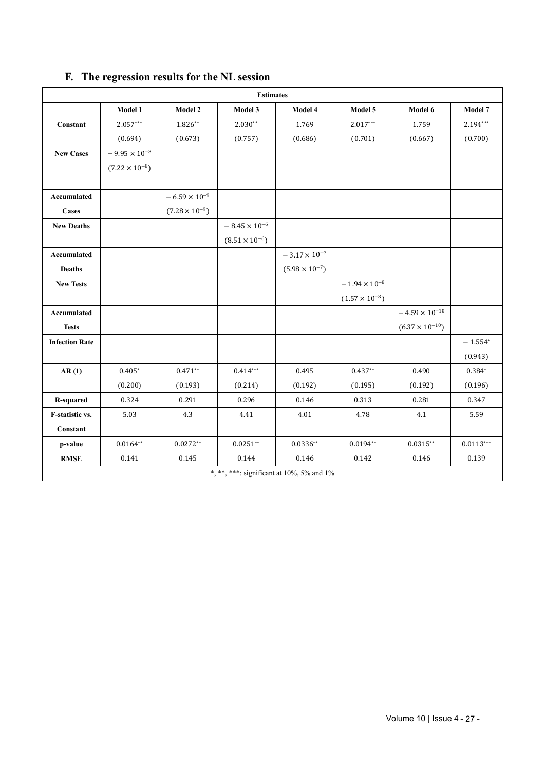|                        |                         |                         | <b>Estimates</b>                          |                         |                         |                          |             |
|------------------------|-------------------------|-------------------------|-------------------------------------------|-------------------------|-------------------------|--------------------------|-------------|
|                        | Model 1                 | Model 2                 | Model 3                                   | Model 4                 | Model 5                 | Model 6                  | Model 7     |
| Constant               | $2.057***$              | $1.826**$               | $2.030**$                                 | 1.769                   | $2.017***$              | 1.759                    | $2.194***$  |
|                        | (0.694)                 | (0.673)                 | (0.757)                                   | (0.686)                 | (0.701)                 | (0.667)                  | (0.700)     |
| <b>New Cases</b>       | $-9.95 \times 10^{-8}$  |                         |                                           |                         |                         |                          |             |
|                        | $(7.22 \times 10^{-8})$ |                         |                                           |                         |                         |                          |             |
|                        |                         |                         |                                           |                         |                         |                          |             |
| Accumulated            |                         | $-6.59 \times 10^{-9}$  |                                           |                         |                         |                          |             |
| <b>Cases</b>           |                         | $(7.28 \times 10^{-9})$ |                                           |                         |                         |                          |             |
| <b>New Deaths</b>      |                         |                         | $-$ 8.45 $\times$ $10^{-6}$               |                         |                         |                          |             |
|                        |                         |                         | $(8.51 \times 10^{-6})$                   |                         |                         |                          |             |
| Accumulated            |                         |                         |                                           | $-3.17\times10^{-7}$    |                         |                          |             |
| <b>Deaths</b>          |                         |                         |                                           | $(5.98 \times 10^{-7})$ |                         |                          |             |
| <b>New Tests</b>       |                         |                         |                                           |                         | $-1.94\times10^{-8}$    |                          |             |
|                        |                         |                         |                                           |                         | $(1.57 \times 10^{-8})$ |                          |             |
| Accumulated            |                         |                         |                                           |                         |                         | $-4.59\times10^{-10}$    |             |
| <b>Tests</b>           |                         |                         |                                           |                         |                         | $(6.37 \times 10^{-10})$ |             |
| <b>Infection Rate</b>  |                         |                         |                                           |                         |                         |                          | $-1.554*$   |
|                        |                         |                         |                                           |                         |                         |                          | (0.943)     |
| AR(1)                  | $0.405*$                | $0.471**$               | $0.414***$                                | 0.495                   | $0.437**$               | 0.490                    | 0.384*      |
|                        | (0.200)                 | (0.193)                 | (0.214)                                   | (0.192)                 | (0.195)                 | (0.192)                  | (0.196)     |
| <b>R-squared</b>       | 0.324                   | 0.291                   | 0.296                                     | 0.146                   | 0.313                   | 0.281                    | 0.347       |
| <b>F-statistic vs.</b> | 5.03                    | 4.3                     | 4.41                                      | 4.01                    | 4.78                    | 4.1                      | 5.59        |
| Constant               |                         |                         |                                           |                         |                         |                          |             |
| p-value                | $0.0164**$              | $0.0272**$              | $0.0251**$                                | $0.0336**$              | $0.0194**$              | $0.0315**$               | $0.0113***$ |
| $\mathbf{RMSE}$        | 0.141                   | 0.145                   | 0.144                                     | 0.146                   | 0.142                   | 0.146                    | 0.139       |
|                        |                         |                         | *, **, ***: significant at 10%, 5% and 1% |                         |                         |                          |             |

## **F. The regression results for the NL session**